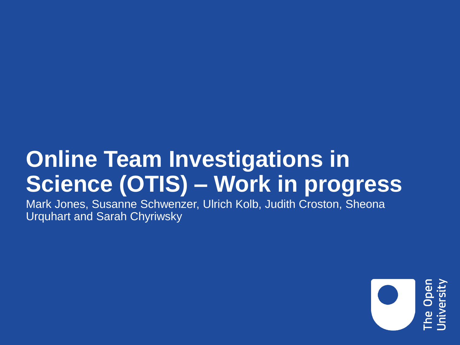# **Online Team Investigations in Science (OTIS) – Work in progress**

Mark Jones, Susanne Schwenzer, Ulrich Kolb, Judith Croston, Sheona Urquhart and Sarah Chyriwsky

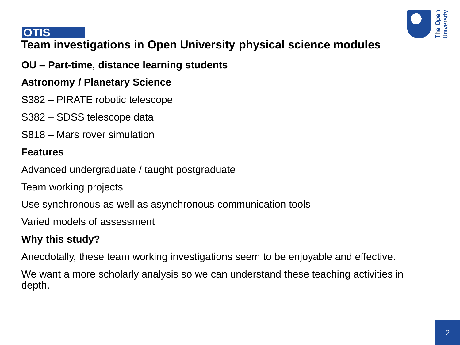

#### **OTIS**

# **Team investigations in Open University physical science modules**

#### **OU – Part-time, distance learning students**

#### **Astronomy / Planetary Science**

- S382 PIRATE robotic telescope
- S382 SDSS telescope data
- S818 Mars rover simulation

#### **Features**

Advanced undergraduate / taught postgraduate

Team working projects

Use synchronous as well as asynchronous communication tools

Varied models of assessment

# **Why this study?**

Anecdotally, these team working investigations seem to be enjoyable and effective.

We want a more scholarly analysis so we can understand these teaching activities in depth.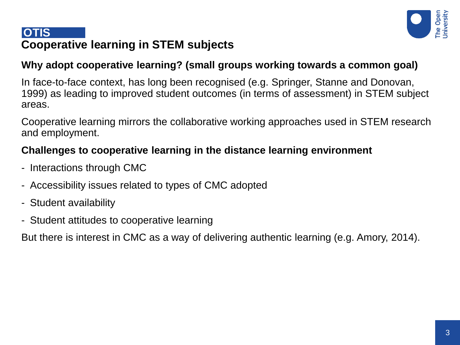

# **Cooperative learning in STEM subjects OTIS**

# **Why adopt cooperative learning? (small groups working towards a common goal)**

In face-to-face context, has long been recognised (e.g. Springer, Stanne and Donovan, 1999) as leading to improved student outcomes (in terms of assessment) in STEM subject areas.

Cooperative learning mirrors the collaborative working approaches used in STEM research and employment.

# **Challenges to cooperative learning in the distance learning environment**

- Interactions through CMC
- Accessibility issues related to types of CMC adopted
- Student availability
- Student attitudes to cooperative learning

But there is interest in CMC as a way of delivering authentic learning (e.g. Amory, 2014).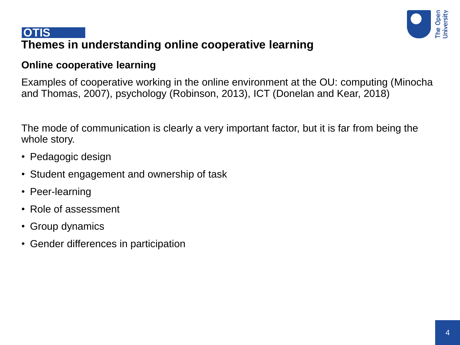

# **Themes in understanding online cooperative learning OTIS**

#### **Online cooperative learning**

Examples of cooperative working in the online environment at the OU: computing (Minocha and Thomas, 2007), psychology (Robinson, 2013), ICT (Donelan and Kear, 2018)

The mode of communication is clearly a very important factor, but it is far from being the whole story.

- Pedagogic design
- Student engagement and ownership of task
- Peer-learning
- Role of assessment
- Group dynamics
- Gender differences in participation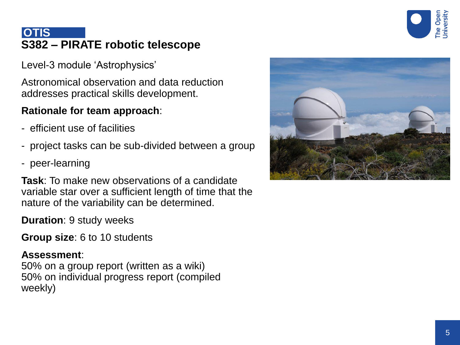

# **S382 – PIRATE robotic telescope OTIS**

Level-3 module 'Astrophysics'

Astronomical observation and data reduction addresses practical skills development.

#### **Rationale for team approach**:

- efficient use of facilities
- project tasks can be sub-divided between a group
- peer-learning

**Task**: To make new observations of a candidate variable star over a sufficient length of time that the nature of the variability can be determined.

**Duration**: 9 study weeks

**Group size**: 6 to 10 students

#### **Assessment**:

50% on a group report (written as a wiki) 50% on individual progress report (compiled weekly)

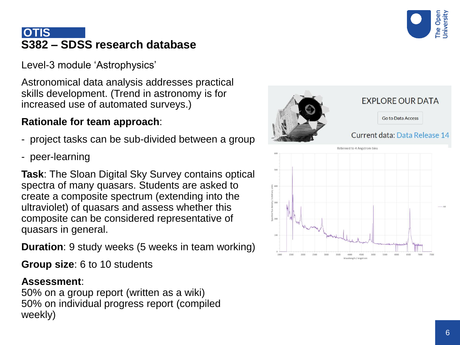

# **S382 – SDSS research database OTIS**

Level -3 module 'Astrophysics'

Astronomical data analysis addresses practical skills development. (Trend in astronomy is for increased use of automated surveys.)

#### **Rationale for team approach** :

- project tasks can be sub-divided between a group
- peer -learning

**Task**: The Sloan Digital Sky Survey contains optical spectra of many quasars. Students are asked to create a composite spectrum (extending into the ultraviolet) of quasars and assess whether this composite can be considered representative of quasars in general.

**Duration**: 9 study weeks (5 weeks in team working)

**Group size**: 6 to 10 students

#### **Assessment**:

50% on a group report (written as a wiki) 50% on individual progress report (compiled weekly)

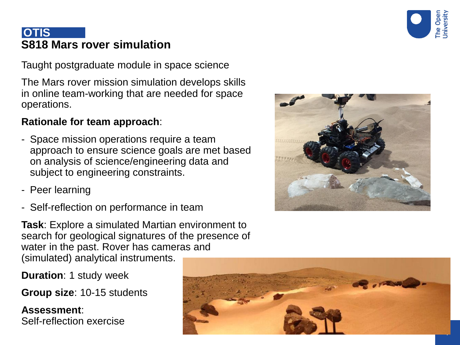

# **S818 Mars rover simulation OTIS**

Taught postgraduate module in space science

The Mars rover mission simulation develops skills in online team -working that are needed for space operations.

#### **Rationale for team approach** :

- Space mission operations require a team approach to ensure science goals are met based on analysis of science/engineering data and subject to engineering constraints.
- Peer learning
- Self-reflection on performance in team

**Task**: Explore a simulated Martian environment to search for geological signatures of the presence of water in the past. Rover has cameras and (simulated) analytical instruments.

**Duration**: 1 study week

Group size: 10-15 students

**Assessment** : Self -reflection exercise



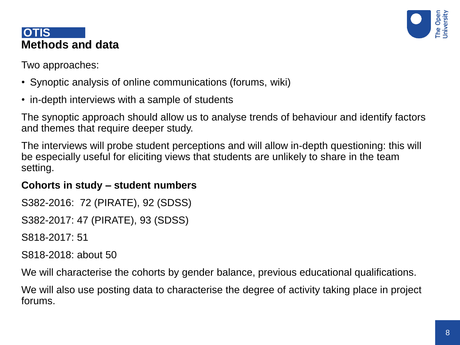

#### **Methods and data OTIS**

Two approaches:

- Synoptic analysis of online communications (forums, wiki)
- in-depth interviews with a sample of students

The synoptic approach should allow us to analyse trends of behaviour and identify factors and themes that require deeper study.

The interviews will probe student perceptions and will allow in-depth questioning: this will be especially useful for eliciting views that students are unlikely to share in the team setting.

#### **Cohorts in study – student numbers**

S382-2016: 72 (PIRATE), 92 (SDSS) S382-2017: 47 (PIRATE), 93 (SDSS) S818-2017: 51

S818-2018: about 50

We will characterise the cohorts by gender balance, previous educational qualifications.

We will also use posting data to characterise the degree of activity taking place in project forums.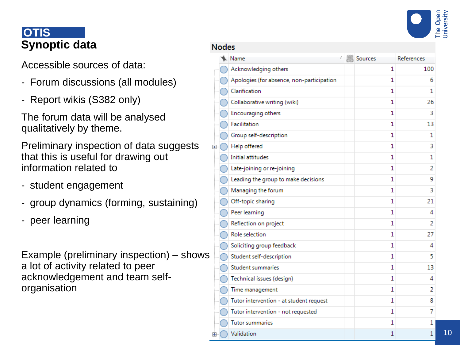

10

# **Synoptic data OTIS**

Accessible sources of data:

- Forum discussions (all modules)
- Report wikis (S382 only)

The forum data will be analysed qualitatively by theme.

Preliminary inspection of data suggests that this is useful for drawing out information related to - student engagement

- 
- group dynamics (forming, sustaining)
- peer learning

Example (preliminary inspection) – shows a lot of activity related to peer acknowledgement and team self organisation

| <b>Nodes</b>       |                                           |   |         |            |
|--------------------|-------------------------------------------|---|---------|------------|
|                    | Name                                      | 5 | Sources | References |
|                    | Acknowledging others                      |   | 1       | 100        |
|                    | Apologies (for absence, non-participation |   | 1       | 6          |
|                    | Clarification                             |   | 1       | 1          |
|                    | Collaborative writing (wiki)              |   | 1       | 26         |
|                    | Encouraging others                        |   | 1       | 3          |
|                    | Facilitation                              |   | 1       | 13         |
|                    | Group self-description                    |   | 1       | 1          |
| 田                  | Help offered                              |   | 1       | 3          |
|                    | <b>Initial attitudes</b>                  |   | 1       | 1          |
|                    | Late-joining or re-joining                |   | 1       | 2          |
|                    | Leading the group to make decisions       |   | 1       | 9          |
|                    | Managing the forum                        |   | 1       | 3          |
|                    | Off-topic sharing                         |   | 1       | 21         |
|                    | Peer learning                             |   | 1       | 4          |
|                    | Reflection on project                     |   | 1       | 2          |
|                    | Role selection                            |   | 1       | 27         |
|                    | Soliciting group feedback                 |   | 1       | 4          |
|                    | Student self-description                  |   | 1       | 5          |
|                    | Student summaries                         |   | 1       | 13         |
|                    | Technical issues (design)                 |   | 1       | 4          |
|                    | Time management                           |   | 1       | 2          |
|                    | Tutor intervention - at student request   |   | 1       | 8          |
|                    | Tutor intervention - not requested        |   | 1       | 7          |
|                    | <b>Tutor summaries</b>                    |   | 1       | 1          |
| $\left  + \right $ | Validation                                |   | 1       | 1          |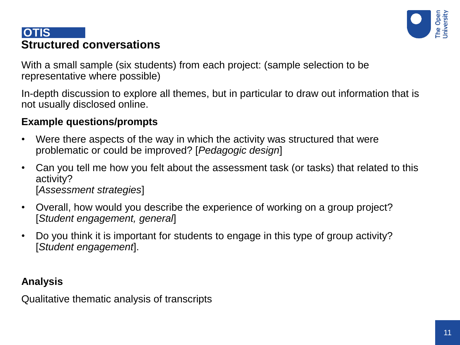

# **Structured conversations OTIS**

With a small sample (six students) from each project: (sample selection to be representative where possible)

In-depth discussion to explore all themes, but in particular to draw out information that is not usually disclosed online.

# **Example questions/prompts**

- Were there aspects of the way in which the activity was structured that were problematic or could be improved? [*Pedagogic design*]
- Can you tell me how you felt about the assessment task (or tasks) that related to this activity? [*Assessment strategies*]
- Overall, how would you describe the experience of working on a group project? [*Student engagement, general*]
- Do you think it is important for students to engage in this type of group activity? [*Student engagement*].

# **Analysis**

Qualitative thematic analysis of transcripts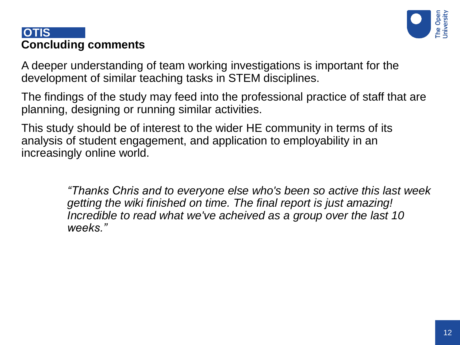# **Concluding comments OTIS**

A deeper understanding of team working investigations is important for the development of similar teaching tasks in STEM disciplines.

The findings of the study may feed into the professional practice of staff that are planning, designing or running similar activities.

This study should be of interest to the wider HE community in terms of its analysis of student engagement, and application to employability in an increasingly online world.

> *"Thanks Chris and to everyone else who's been so active this last week getting the wiki finished on time. The final report is just amazing! Incredible to read what we've acheived as a group over the last 10 weeks."*